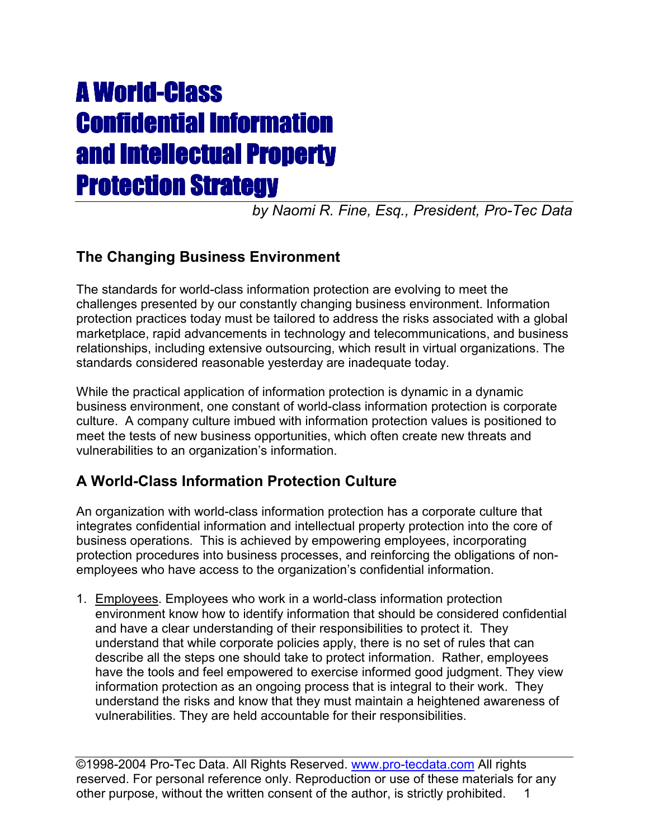# **A World-Class** Confidential Information and Intellectual Property and Intellectual Property Protection Strategy

*by Naomi R. Fine, Esq., President, Pro-Tec Data*

# **The Changing Business Environment**

The standards for world-class information protection are evolving to meet the challenges presented by our constantly changing business environment. Information protection practices today must be tailored to address the risks associated with a global marketplace, rapid advancements in technology and telecommunications, and business relationships, including extensive outsourcing, which result in virtual organizations. The standards considered reasonable yesterday are inadequate today.

While the practical application of information protection is dynamic in a dynamic business environment, one constant of world-class information protection is corporate culture. A company culture imbued with information protection values is positioned to meet the tests of new business opportunities, which often create new threats and vulnerabilities to an organization's information.

# **A World-Class Information Protection Culture**

An organization with world-class information protection has a corporate culture that integrates confidential information and intellectual property protection into the core of business operations. This is achieved by empowering employees, incorporating protection procedures into business processes, and reinforcing the obligations of nonemployees who have access to the organization's confidential information.

1. Employees. Employees who work in a world-class information protection environment know how to identify information that should be considered confidential and have a clear understanding of their responsibilities to protect it. They understand that while corporate policies apply, there is no set of rules that can describe all the steps one should take to protect information. Rather, employees have the tools and feel empowered to exercise informed good judgment. They view information protection as an ongoing process that is integral to their work. They understand the risks and know that they must maintain a heightened awareness of vulnerabilities. They are held accountable for their responsibilities.

©1998-2004 Pro-Tec Data. All Rights Reserved. www.pro-tecdata.com All rights reserved. For personal reference only. Reproduction or use of these materials for any other purpose, without the written consent of the author, is strictly prohibited. 1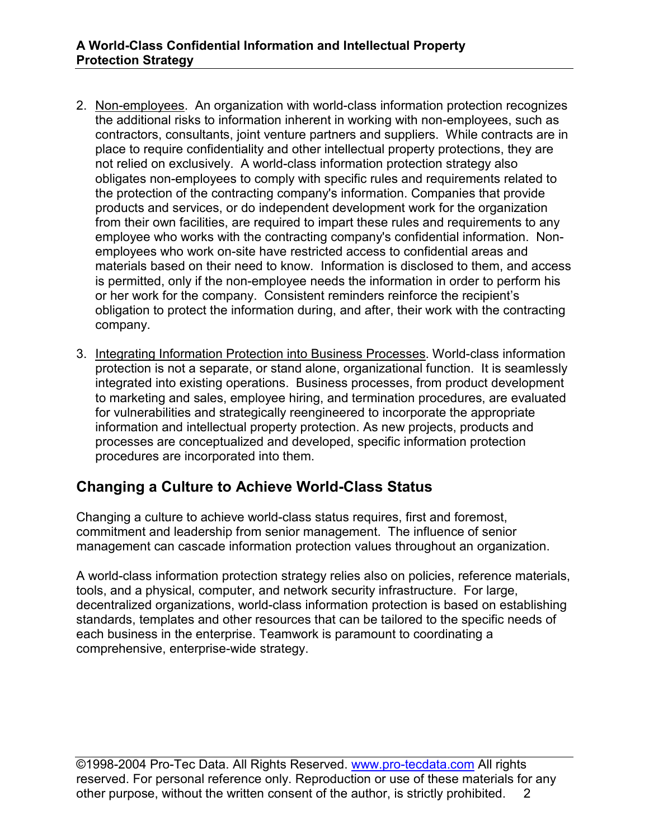- 2. Non-employees. An organization with world-class information protection recognizes the additional risks to information inherent in working with non-employees, such as contractors, consultants, joint venture partners and suppliers. While contracts are in place to require confidentiality and other intellectual property protections, they are not relied on exclusively. A world-class information protection strategy also obligates non-employees to comply with specific rules and requirements related to the protection of the contracting company's information. Companies that provide products and services, or do independent development work for the organization from their own facilities, are required to impart these rules and requirements to any employee who works with the contracting company's confidential information. Nonemployees who work on-site have restricted access to confidential areas and materials based on their need to know. Information is disclosed to them, and access is permitted, only if the non-employee needs the information in order to perform his or her work for the company. Consistent reminders reinforce the recipient's obligation to protect the information during, and after, their work with the contracting company.
- 3. Integrating Information Protection into Business Processes. World-class information protection is not a separate, or stand alone, organizational function. It is seamlessly integrated into existing operations. Business processes, from product development to marketing and sales, employee hiring, and termination procedures, are evaluated for vulnerabilities and strategically reengineered to incorporate the appropriate information and intellectual property protection. As new projects, products and processes are conceptualized and developed, specific information protection procedures are incorporated into them.

## **Changing a Culture to Achieve World-Class Status**

Changing a culture to achieve world-class status requires, first and foremost, commitment and leadership from senior management. The influence of senior management can cascade information protection values throughout an organization.

A world-class information protection strategy relies also on policies, reference materials, tools, and a physical, computer, and network security infrastructure. For large, decentralized organizations, world-class information protection is based on establishing standards, templates and other resources that can be tailored to the specific needs of each business in the enterprise. Teamwork is paramount to coordinating a comprehensive, enterprise-wide strategy.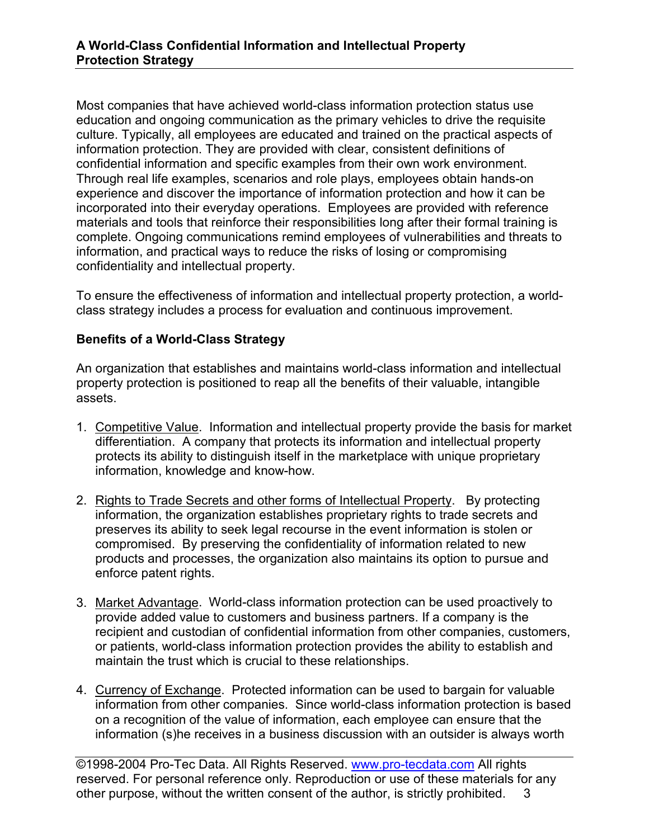Most companies that have achieved world-class information protection status use education and ongoing communication as the primary vehicles to drive the requisite culture. Typically, all employees are educated and trained on the practical aspects of information protection. They are provided with clear, consistent definitions of confidential information and specific examples from their own work environment. Through real life examples, scenarios and role plays, employees obtain hands-on experience and discover the importance of information protection and how it can be incorporated into their everyday operations. Employees are provided with reference materials and tools that reinforce their responsibilities long after their formal training is complete. Ongoing communications remind employees of vulnerabilities and threats to information, and practical ways to reduce the risks of losing or compromising confidentiality and intellectual property.

To ensure the effectiveness of information and intellectual property protection, a worldclass strategy includes a process for evaluation and continuous improvement.

#### **Benefits of a World-Class Strategy**

An organization that establishes and maintains world-class information and intellectual property protection is positioned to reap all the benefits of their valuable, intangible assets.

- 1. Competitive Value. Information and intellectual property provide the basis for market differentiation. A company that protects its information and intellectual property protects its ability to distinguish itself in the marketplace with unique proprietary information, knowledge and know-how.
- 2. Rights to Trade Secrets and other forms of Intellectual Property. By protecting information, the organization establishes proprietary rights to trade secrets and preserves its ability to seek legal recourse in the event information is stolen or compromised. By preserving the confidentiality of information related to new products and processes, the organization also maintains its option to pursue and enforce patent rights.
- 3. Market Advantage. World-class information protection can be used proactively to provide added value to customers and business partners. If a company is the recipient and custodian of confidential information from other companies, customers, or patients, world-class information protection provides the ability to establish and maintain the trust which is crucial to these relationships.
- 4. Currency of Exchange. Protected information can be used to bargain for valuable information from other companies. Since world-class information protection is based on a recognition of the value of information, each employee can ensure that the information (s)he receives in a business discussion with an outsider is always worth

©1998-2004 Pro-Tec Data. All Rights Reserved. www.pro-tecdata.com All rights reserved. For personal reference only. Reproduction or use of these materials for any other purpose, without the written consent of the author, is strictly prohibited. 3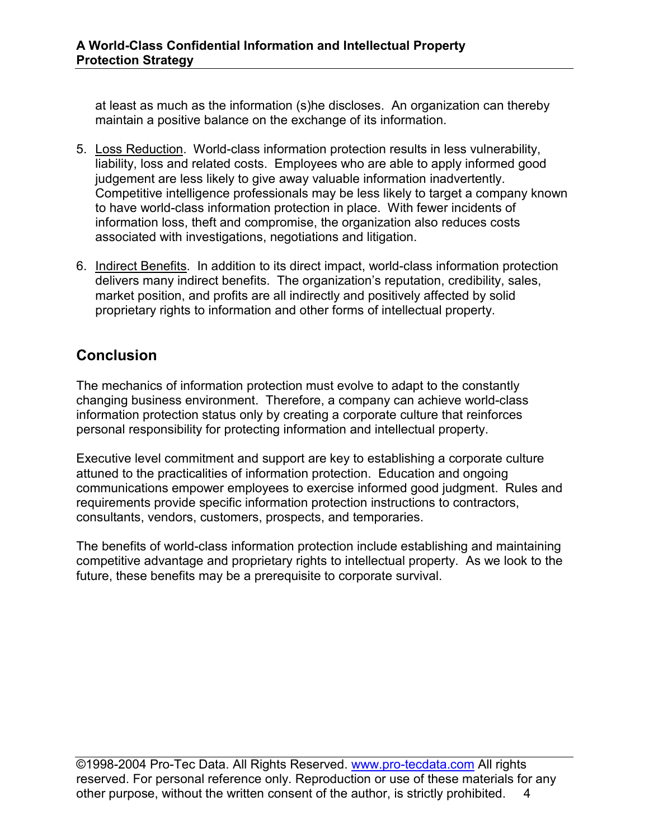at least as much as the information (s)he discloses. An organization can thereby maintain a positive balance on the exchange of its information.

- 5. Loss Reduction. World-class information protection results in less vulnerability, liability, loss and related costs. Employees who are able to apply informed good judgement are less likely to give away valuable information inadvertently. Competitive intelligence professionals may be less likely to target a company known to have world-class information protection in place. With fewer incidents of information loss, theft and compromise, the organization also reduces costs associated with investigations, negotiations and litigation.
- 6. Indirect Benefits. In addition to its direct impact, world-class information protection delivers many indirect benefits. The organization's reputation, credibility, sales, market position, and profits are all indirectly and positively affected by solid proprietary rights to information and other forms of intellectual property.

# **Conclusion**

The mechanics of information protection must evolve to adapt to the constantly changing business environment. Therefore, a company can achieve world-class information protection status only by creating a corporate culture that reinforces personal responsibility for protecting information and intellectual property.

Executive level commitment and support are key to establishing a corporate culture attuned to the practicalities of information protection. Education and ongoing communications empower employees to exercise informed good judgment. Rules and requirements provide specific information protection instructions to contractors, consultants, vendors, customers, prospects, and temporaries.

The benefits of world-class information protection include establishing and maintaining competitive advantage and proprietary rights to intellectual property. As we look to the future, these benefits may be a prerequisite to corporate survival.